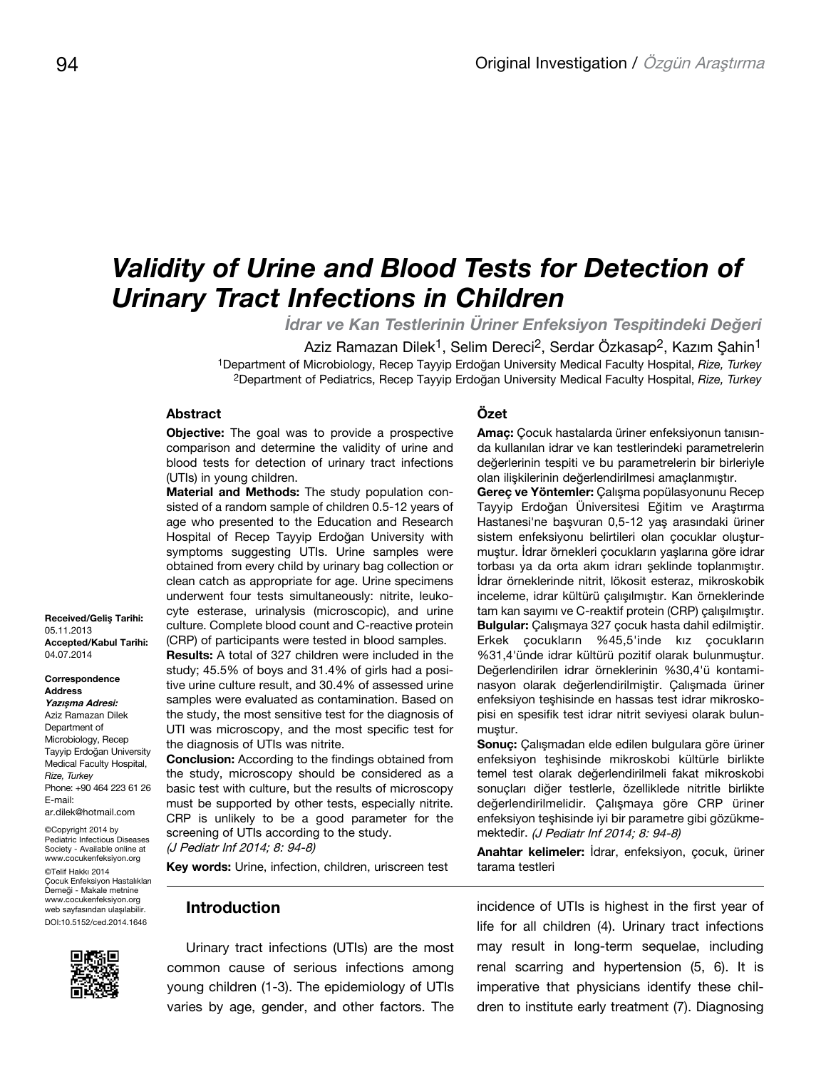# *Validity of Urine and Blood Tests for Detection of Urinary Tract Infections in Children*

*İdrar ve Kan Testlerinin Üriner Enfeksiyon Tespitindeki Değeri*

Aziz Ramazan Dilek<sup>1</sup>, Selim Dereci<sup>2</sup>, Serdar Özkasap<sup>2</sup>, Kazım Sahin<sup>1</sup> 1Department of Microbiology, Recep Tayyip Erdoğan University Medical Faculty Hospital, *Rize, Turkey*

2Department of Pediatrics, Recep Tayyip Erdoğan University Medical Faculty Hospital, *Rize, Turkey*

#### **Abstract**

**Objective:** The goal was to provide a prospective comparison and determine the validity of urine and blood tests for detection of urinary tract infections (UTIs) in young children.

**Material and Methods:** The study population consisted of a random sample of children 0.5-12 years of age who presented to the Education and Research Hospital of Recep Tayyip Erdoğan University with symptoms suggesting UTIs. Urine samples were obtained from every child by urinary bag collection or clean catch as appropriate for age. Urine specimens underwent four tests simultaneously: nitrite, leukocyte esterase, urinalysis (microscopic), and urine culture. Complete blood count and C-reactive protein (CRP) of participants were tested in blood samples.

**Results:** A total of 327 children were included in the study; 45.5% of boys and 31.4% of girls had a positive urine culture result, and 30.4% of assessed urine samples were evaluated as contamination. Based on the study, the most sensitive test for the diagnosis of UTI was microscopy, and the most specific test for the diagnosis of UTIs was nitrite.

**Conclusion:** According to the findings obtained from the study, microscopy should be considered as a basic test with culture, but the results of microscopy must be supported by other tests, especially nitrite. CRP is unlikely to be a good parameter for the screening of UTIs according to the study. (J Pediatr Inf 2014; 8: 94-8)

**Key words:** Urine, infection, children, uriscreen test

#### **Introduction**

Urinary tract infections (UTIs) are the most common cause of serious infections among young children (1-3). The epidemiology of UTIs varies by age, gender, and other factors. The

#### **Özet**

**Amaç:** Çocuk hastalarda üriner enfeksiyonun tanısında kullanılan idrar ve kan testlerindeki parametrelerin değerlerinin tespiti ve bu parametrelerin bir birleriyle olan ilişkilerinin değerlendirilmesi amaçlanmıştır.

**Gereç ve Yöntemler:** Çalışma popülasyonunu Recep Tayyip Erdoğan Üniversitesi Eğitim ve Araştırma Hastanesi'ne başvuran 0,5-12 yaş arasındaki üriner sistem enfeksiyonu belirtileri olan çocuklar oluşturmuştur. İdrar örnekleri çocukların yaşlarına göre idrar torbası ya da orta akım idrarı şeklinde toplanmıştır. İdrar örneklerinde nitrit, lökosit esteraz, mikroskobik inceleme, idrar kültürü çalışılmıştır. Kan örneklerinde tam kan sayımı ve C-reaktif protein (CRP) çalışılmıştır. **Bulgular:** Çalışmaya 327 çocuk hasta dahil edilmiştir. Erkek çocukların %45,5'inde kız çocukların %31,4'ünde idrar kültürü pozitif olarak bulunmuştur. Değerlendirilen idrar örneklerinin %30,4'ü kontaminasyon olarak değerlendirilmiştir. Çalışmada üriner enfeksiyon teşhisinde en hassas test idrar mikroskopisi en spesifik test idrar nitrit seviyesi olarak bulunmuştur.

**Sonuç:** Çalışmadan elde edilen bulgulara göre üriner enfeksiyon teşhisinde mikroskobi kültürle birlikte temel test olarak değerlendirilmeli fakat mikroskobi sonuçları diğer testlerle, özelliklede nitritle birlikte değerlendirilmelidir. Çalışmaya göre CRP üriner enfeksiyon teşhisinde iyi bir parametre gibi gözükmemektedir. (J Pediatr Inf 2014; 8: 94-8)

**Anahtar kelimeler:** İdrar, enfeksiyon, çocuk, üriner tarama testleri

incidence of UTIs is highest in the first year of life for all children (4). Urinary tract infections may result in long-term sequelae, including renal scarring and hypertension (5, 6). It is imperative that physicians identify these children to institute early treatment (7). Diagnosing

**Received/Geliş Tarihi:**  05.11.2013 **Accepted/Kabul Tarihi:** 04.07.2014

#### **Correspondence Address**

**Yazışma Adresi:** Aziz Ramazan Dilek Department of Microbiology, Recep Tayyip Erdoğan University Medical Faculty Hospital, *Rize, Turkey* Phone: +90 464 223 61 26 E-mail: ar.dilek@hotmail.com

©Copyright 2014 by Pediatric Infectious Diseases Society - Available online at www.cocukenfeksiyon.org ©Telif Hakkı 2014 Çocuk Enfeksiyon Hastalıkları Derneği - Makale metnine www.cocukenfeksiyon.org web sayfasından ulaşılabilir. DOI:10.5152/ced.2014.1646

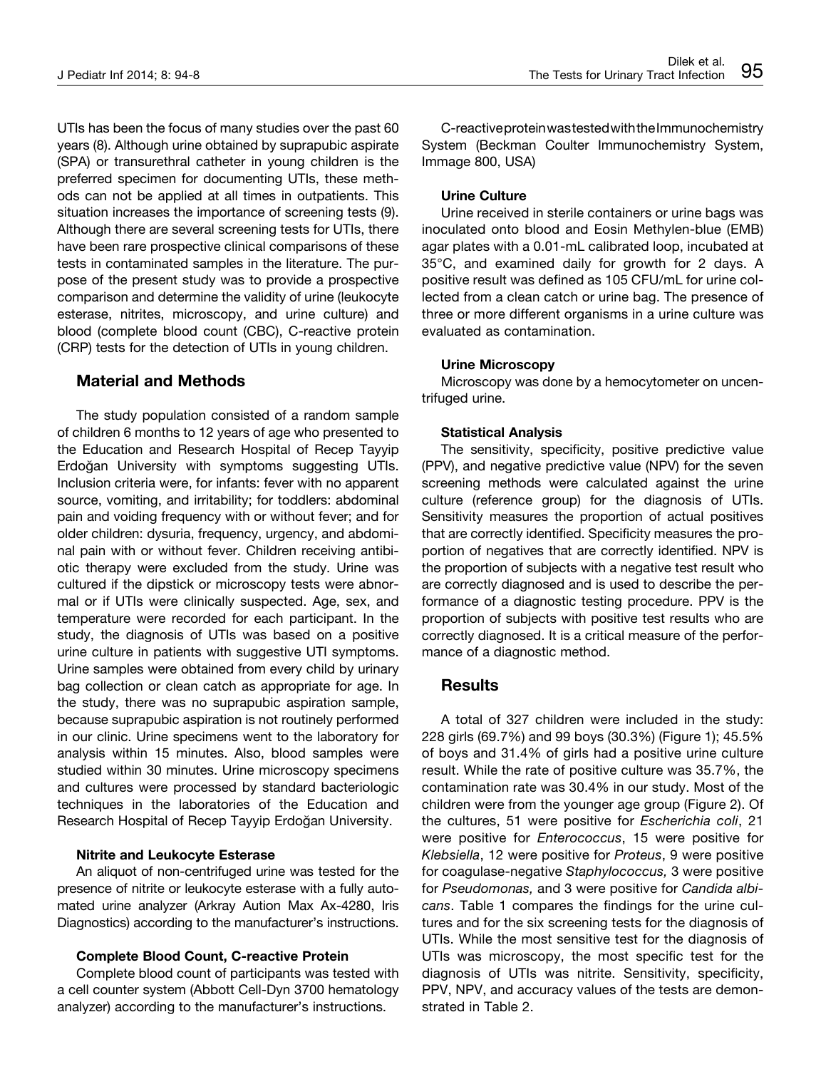UTIs has been the focus of many studies over the past 60 years (8). Although urine obtained by suprapubic aspirate (SPA) or transurethral catheter in young children is the preferred specimen for documenting UTIs, these methods can not be applied at all times in outpatients. This situation increases the importance of screening tests (9). Although there are several screening tests for UTIs, there have been rare prospective clinical comparisons of these tests in contaminated samples in the literature. The purpose of the present study was to provide a prospective comparison and determine the validity of urine (leukocyte esterase, nitrites, microscopy, and urine culture) and blood (complete blood count (CBC), C-reactive protein (CRP) tests for the detection of UTIs in young children.

# **Material and Methods**

The study population consisted of a random sample of children 6 months to 12 years of age who presented to the Education and Research Hospital of Recep Tayyip Erdoğan University with symptoms suggesting UTIs. Inclusion criteria were, for infants: fever with no apparent source, vomiting, and irritability; for toddlers: abdominal pain and voiding frequency with or without fever; and for older children: dysuria, frequency, urgency, and abdominal pain with or without fever. Children receiving antibiotic therapy were excluded from the study. Urine was cultured if the dipstick or microscopy tests were abnormal or if UTIs were clinically suspected. Age, sex, and temperature were recorded for each participant. In the study, the diagnosis of UTIs was based on a positive urine culture in patients with suggestive UTI symptoms. Urine samples were obtained from every child by urinary bag collection or clean catch as appropriate for age. In the study, there was no suprapubic aspiration sample, because suprapubic aspiration is not routinely performed in our clinic. Urine specimens went to the laboratory for analysis within 15 minutes. Also, blood samples were studied within 30 minutes. Urine microscopy specimens and cultures were processed by standard bacteriologic techniques in the laboratories of the Education and Research Hospital of Recep Tayyip Erdoğan University.

#### **Nitrite and Leukocyte Esterase**

An aliquot of non-centrifuged urine was tested for the presence of nitrite or leukocyte esterase with a fully automated urine analyzer (Arkray Aution Max Ax-4280, Iris Diagnostics) according to the manufacturer's instructions.

# **Complete Blood Count, C-reactive Protein**

Complete blood count of participants was tested with a cell counter system (Abbott Cell-Dyn 3700 hematology analyzer) according to the manufacturer's instructions.

C-reactive protein was tested with the Immunochemistry System (Beckman Coulter Immunochemistry System, Immage 800, USA)

# **Urine Culture**

Urine received in sterile containers or urine bags was inoculated onto blood and Eosin Methylen-blue (EMB) agar plates with a 0.01-mL calibrated loop, incubated at 35°C, and examined daily for growth for 2 days. A positive result was defined as 105 CFU/mL for urine collected from a clean catch or urine bag. The presence of three or more different organisms in a urine culture was evaluated as contamination.

# **Urine Microscopy**

Microscopy was done by a hemocytometer on uncentrifuged urine.

#### **Statistical Analysis**

The sensitivity, specificity, positive predictive value (PPV), and negative predictive value (NPV) for the seven screening methods were calculated against the urine culture (reference group) for the diagnosis of UTIs. Sensitivity measures the proportion of actual positives that are correctly identified. Specificity measures the proportion of negatives that are correctly identified. NPV is the proportion of subjects with a negative test result who are correctly diagnosed and is used to describe the performance of a diagnostic testing procedure. PPV is the proportion of subjects with positive test results who are correctly diagnosed. It is a critical measure of the performance of a diagnostic method.

# **Results**

A total of 327 children were included in the study: 228 girls (69.7%) and 99 boys (30.3%) (Figure 1); 45.5% of boys and 31.4% of girls had a positive urine culture result. While the rate of positive culture was 35.7%, the contamination rate was 30.4% in our study. Most of the children were from the younger age group (Figure 2). Of the cultures, 51 were positive for *Escherichia coli*, 21 were positive for *Enterococcus*, 15 were positive for *Klebsiella*, 12 were positive for *Proteus*, 9 were positive for coagulase-negative *Staphylococcus,* 3 were positive for *Pseudomonas,* and 3 were positive for *Candida albicans*. Table 1 compares the findings for the urine cultures and for the six screening tests for the diagnosis of UTIs. While the most sensitive test for the diagnosis of UTIs was microscopy, the most specific test for the diagnosis of UTIs was nitrite. Sensitivity, specificity, PPV, NPV, and accuracy values of the tests are demonstrated in Table 2.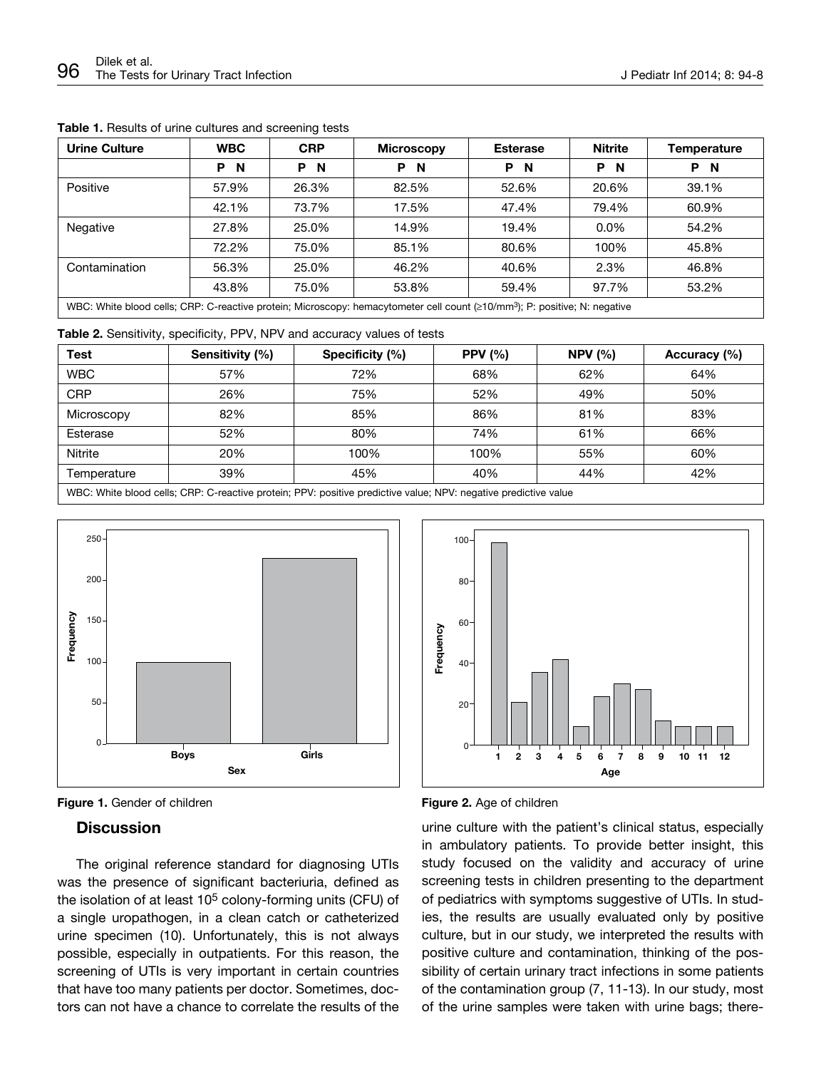| <b>Urine Culture</b>                                                                                                                   | <b>WBC</b>    | <b>CRP</b>    | <b>Microscopy</b> | <b>Esterase</b> | <b>Nitrite</b> | <b>Temperature</b> |  |  |
|----------------------------------------------------------------------------------------------------------------------------------------|---------------|---------------|-------------------|-----------------|----------------|--------------------|--|--|
|                                                                                                                                        | <b>N</b><br>P | <b>N</b><br>P | P<br><b>N</b>     | Р<br>-N         | P<br><b>N</b>  | P<br><b>N</b>      |  |  |
| Positive                                                                                                                               | 57.9%         | 26.3%         | 82.5%             | 52.6%           | 20.6%          | 39.1%              |  |  |
|                                                                                                                                        | 42.1%         | 73.7%         | 17.5%             | 47.4%           | 79.4%          | 60.9%              |  |  |
| Negative                                                                                                                               | 27.8%         | 25.0%         | 14.9%             | 19.4%           | $0.0\%$        | 54.2%              |  |  |
|                                                                                                                                        | 72.2%         | 75.0%         | 85.1%             | 80.6%           | 100%           | 45.8%              |  |  |
| Contamination                                                                                                                          | 56.3%         | 25.0%         | 46.2%             | 40.6%           | 2.3%           | 46.8%              |  |  |
|                                                                                                                                        | 43.8%         | 75.0%         | 53.8%             | 59.4%           | 97.7%          | 53.2%              |  |  |
| WBC: White blood cells; CRP: C-reactive protein; Microscopy: hemacytometer cell count (≥10/mm <sup>3</sup> ); P: positive; N: negative |               |               |                   |                 |                |                    |  |  |

**Table 1.** Results of urine cultures and screening tests

**Table 2.** Sensitivity, specificity, PPV, NPV and accuracy values of tests

| <b>Test</b>                                                                                                      | Sensitivity (%) | Specificity (%) | PPV $(%)$ | NPV $(%)$ | Accuracy (%) |  |  |  |
|------------------------------------------------------------------------------------------------------------------|-----------------|-----------------|-----------|-----------|--------------|--|--|--|
| <b>WBC</b>                                                                                                       | 57%             | 72%             | 68%       | 62%       | 64%          |  |  |  |
| <b>CRP</b>                                                                                                       | 26%             | 75%             | 52%       | 49%       | 50%          |  |  |  |
| Microscopy                                                                                                       | 82%             | 85%             | 86%       | 81%       | 83%          |  |  |  |
| Esterase                                                                                                         | 52%             | 80%             | 74%       | 61%       | 66%          |  |  |  |
| Nitrite                                                                                                          | 20%             | 100%            | 100%      | 55%       | 60%          |  |  |  |
| Temperature                                                                                                      | 39%             | 45%             | 40%       | 44%       | 42%          |  |  |  |
| WRC: White blood cells: CPD: C-reactive protein: PPV: positive prodictive value: NPV: peositive prodictive value |                 |                 |           |           |              |  |  |  |

WBC: White blood cells; CRP: C-reactive protein; PPV: positive predictive value; NPV: negative predictive value



**Figure 1.** Gender of children

## **Discussion**

The original reference standard for diagnosing UTIs was the presence of significant bacteriuria, defined as the isolation of at least  $10<sup>5</sup>$  colony-forming units (CFU) of a single uropathogen, in a clean catch or catheterized urine specimen (10). Unfortunately, this is not always possible, especially in outpatients. For this reason, the screening of UTIs is very important in certain countries that have too many patients per doctor. Sometimes, doctors can not have a chance to correlate the results of the



urine culture with the patient's clinical status, especially in ambulatory patients. To provide better insight, this study focused on the validity and accuracy of urine screening tests in children presenting to the department of pediatrics with symptoms suggestive of UTIs. In studies, the results are usually evaluated only by positive culture, but in our study, we interpreted the results with positive culture and contamination, thinking of the possibility of certain urinary tract infections in some patients of the contamination group (7, 11-13). In our study, most of the urine samples were taken with urine bags; there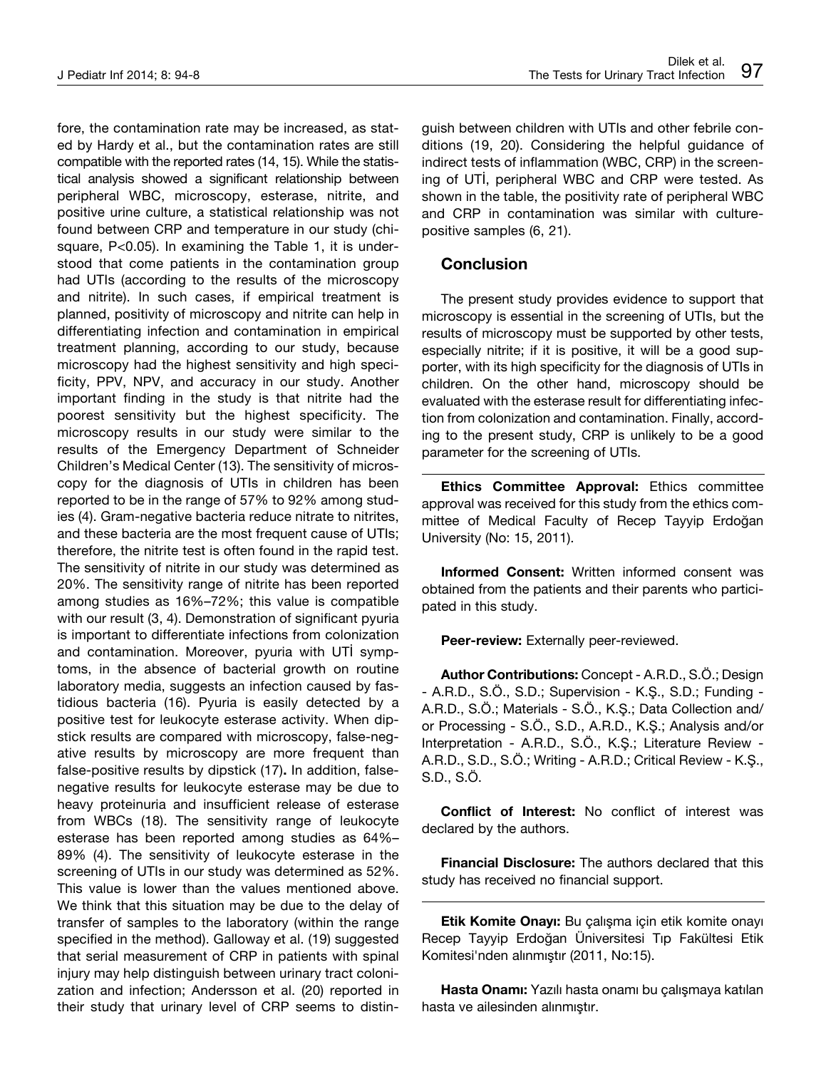fore, the contamination rate may be increased, as stated by Hardy et al., but the contamination rates are still compatible with the reported rates (14, 15). While the statistical analysis showed a significant relationship between peripheral WBC, microscopy, esterase, nitrite, and positive urine culture, a statistical relationship was not found between CRP and temperature in our study (chisquare, P<0.05). In examining the Table 1, it is understood that come patients in the contamination group had UTIs (according to the results of the microscopy and nitrite). In such cases, if empirical treatment is planned, positivity of microscopy and nitrite can help in differentiating infection and contamination in empirical treatment planning, according to our study, because microscopy had the highest sensitivity and high specificity, PPV, NPV, and accuracy in our study. Another important finding in the study is that nitrite had the poorest sensitivity but the highest specificity. The microscopy results in our study were similar to the results of the Emergency Department of Schneider Children's Medical Center (13). The sensitivity of microscopy for the diagnosis of UTIs in children has been reported to be in the range of 57% to 92% among studies (4). Gram-negative bacteria reduce nitrate to nitrites, and these bacteria are the most frequent cause of UTIs; therefore, the nitrite test is often found in the rapid test. The sensitivity of nitrite in our study was determined as 20%. The sensitivity range of nitrite has been reported among studies as 16%–72%; this value is compatible with our result (3, 4). Demonstration of significant pyuria is important to differentiate infections from colonization and contamination. Moreover, pyuria with UTİ symptoms, in the absence of bacterial growth on routine laboratory media, suggests an infection caused by fastidious bacteria (16). Pyuria is easily detected by a positive test for leukocyte esterase activity. When dipstick results are compared with microscopy, false-negative results by microscopy are more frequent than false-positive results by dipstick (17)**.** In addition, falsenegative results for leukocyte esterase may be due to heavy proteinuria and insufficient release of esterase from WBCs (18). The sensitivity range of leukocyte esterase has been reported among studies as 64%– 89% (4). The sensitivity of leukocyte esterase in the screening of UTIs in our study was determined as 52%. This value is lower than the values mentioned above. We think that this situation may be due to the delay of transfer of samples to the laboratory (within the range specified in the method). Galloway et al. (19) suggested that serial measurement of CRP in patients with spinal injury may help distinguish between urinary tract colonization and infection; Andersson et al. (20) reported in their study that urinary level of CRP seems to distinguish between children with UTIs and other febrile conditions (19, 20). Considering the helpful guidance of indirect tests of inflammation (WBC, CRP) in the screening of UTİ, peripheral WBC and CRP were tested. As shown in the table, the positivity rate of peripheral WBC and CRP in contamination was similar with culturepositive samples (6, 21).

# **Conclusion**

The present study provides evidence to support that microscopy is essential in the screening of UTIs, but the results of microscopy must be supported by other tests, especially nitrite; if it is positive, it will be a good supporter, with its high specificity for the diagnosis of UTIs in children. On the other hand, microscopy should be evaluated with the esterase result for differentiating infection from colonization and contamination. Finally, according to the present study, CRP is unlikely to be a good parameter for the screening of UTIs.

**Ethics Committee Approval:** Ethics committee approval was received for this study from the ethics committee of Medical Faculty of Recep Tayyip Erdoğan University (No: 15, 2011).

**Informed Consent:** Written informed consent was obtained from the patients and their parents who participated in this study.

**Peer-review:** Externally peer-reviewed.

**Author Contributions:** Concept - A.R.D., S.Ö.; Design - A.R.D., S.Ö., S.D.; Supervision - K.Ş., S.D.; Funding - A.R.D., S.Ö.; Materials - S.Ö., K.Ş.; Data Collection and/ or Processing - S.Ö., S.D., A.R.D., K.Ş.; Analysis and/or Interpretation - A.R.D., S.Ö., K.Ş.; Literature Review - A.R.D., S.D., S.Ö.; Writing - A.R.D.; Critical Review - K.Ş., S.D., S.Ö.

**Conflict of Interest:** No conflict of interest was declared by the authors.

**Financial Disclosure:** The authors declared that this study has received no financial support.

**Etik Komite Onayı:** Bu çalışma için etik komite onayı Recep Tayyip Erdoğan Üniversitesi Tıp Fakültesi Etik Komitesi'nden alınmıştır (2011, No:15).

**Hasta Onamı:** Yazılı hasta onamı bu çalışmaya katılan hasta ve ailesinden alınmıştır.